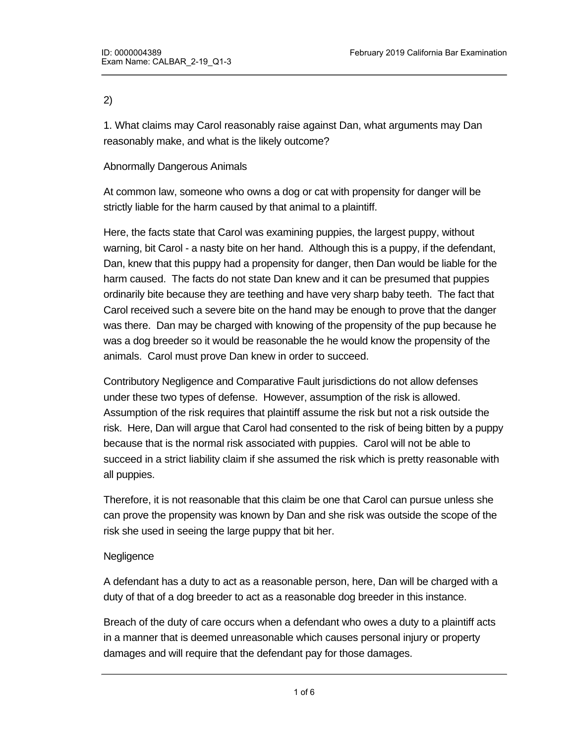### 2)

1. What claims may Carol reasonably raise against Dan, what arguments may Dan reasonably make, and what is the likely outcome?

### Abnormally Dangerous Animals

At common law, someone who owns a dog or cat with propensity for danger will be strictly liable for the harm caused by that animal to a plaintiff.

Here, the facts state that Carol was examining puppies, the largest puppy, without warning, bit Carol - a nasty bite on her hand. Although this is a puppy, if the defendant, Dan, knew that this puppy had a propensity for danger, then Dan would be liable for the harm caused. The facts do not state Dan knew and it can be presumed that puppies ordinarily bite because they are teething and have very sharp baby teeth. The fact that Carol received such a severe bite on the hand may be enough to prove that the danger was there. Dan may be charged with knowing of the propensity of the pup because he was a dog breeder so it would be reasonable the he would know the propensity of the animals. Carol must prove Dan knew in order to succeed.

Contributory Negligence and Comparative Fault jurisdictions do not allow defenses under these two types of defense. However, assumption of the risk is allowed. Assumption of the risk requires that plaintiff assume the risk but not a risk outside the risk. Here, Dan will argue that Carol had consented to the risk of being bitten by a puppy because that is the normal risk associated with puppies. Carol will not be able to succeed in a strict liability claim if she assumed the risk which is pretty reasonable with all puppies.

Therefore, it is not reasonable that this claim be one that Carol can pursue unless she can prove the propensity was known by Dan and she risk was outside the scope of the risk she used in seeing the large puppy that bit her.

### **Negligence**

A defendant has a duty to act as a reasonable person, here, Dan will be charged with a duty of that of a dog breeder to act as a reasonable dog breeder in this instance.

Breach of the duty of care occurs when a defendant who owes a duty to a plaintiff acts in a manner that is deemed unreasonable which causes personal injury or property damages and will require that the defendant pay for those damages.

Here, Dan, as a dog breeder, must exhibit great care so that no parties that want to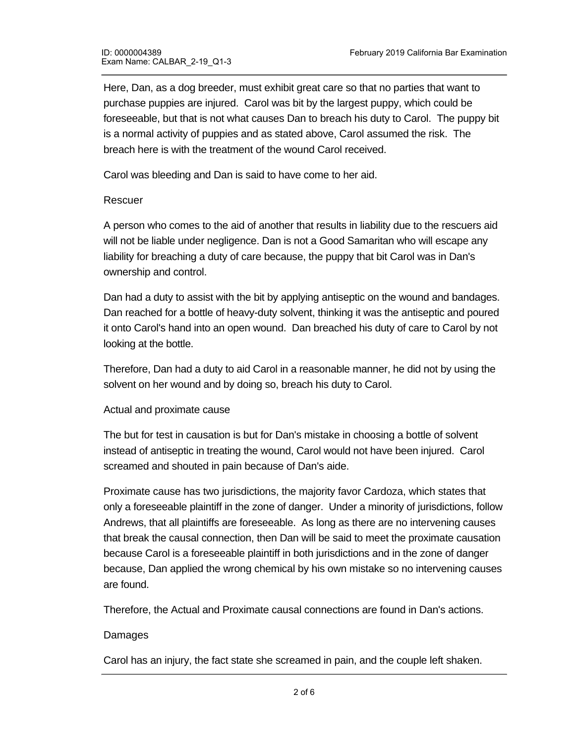Here, Dan, as a dog breeder, must exhibit great care so that no parties that want to purchase puppies are injured. Carol was bit by the largest puppy, which could be foreseeable, but that is not what causes Dan to breach his duty to Carol. The puppy bit is a normal activity of puppies and as stated above, Carol assumed the risk. The breach here is with the treatment of the wound Carol received.

Carol was bleeding and Dan is said to have come to her aid.

### Rescuer

A person who comes to the aid of another that results in liability due to the rescuers aid will not be liable under negligence. Dan is not a Good Samaritan who will escape any liability for breaching a duty of care because, the puppy that bit Carol was in Dan's ownership and control.

Dan had a duty to assist with the bit by applying antiseptic on the wound and bandages. Dan reached for a bottle of heavy-duty solvent, thinking it was the antiseptic and poured it onto Carol's hand into an open wound. Dan breached his duty of care to Carol by not looking at the bottle.

Therefore, Dan had a duty to aid Carol in a reasonable manner, he did not by using the solvent on her wound and by doing so, breach his duty to Carol.

### Actual and proximate cause

The but for test in causation is but for Dan's mistake in choosing a bottle of solvent instead of antiseptic in treating the wound, Carol would not have been injured. Carol screamed and shouted in pain because of Dan's aide.

Proximate cause has two jurisdictions, the majority favor Cardoza, which states that only a foreseeable plaintiff in the zone of danger. Under a minority of jurisdictions, follow Andrews, that all plaintiffs are foreseeable. As long as there are no intervening causes that break the causal connection, then Dan will be said to meet the proximate causation because Carol is a foreseeable plaintiff in both jurisdictions and in the zone of danger because, Dan applied the wrong chemical by his own mistake so no intervening causes are found.

Therefore, the Actual and Proximate causal connections are found in Dan's actions.

### Damages

Carol has an injury, the fact state she screamed in pain, and the couple left shaken.

Unless Dan has a defense to negligence he will be liable for damages.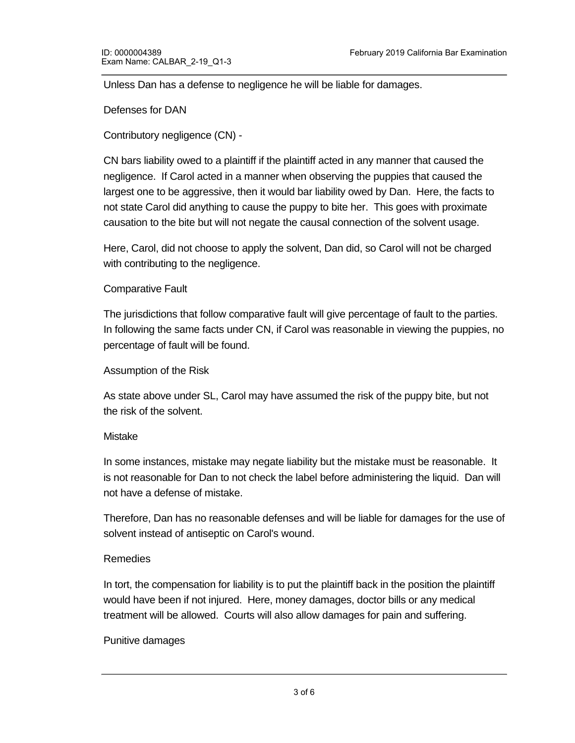Unless Dan has a defense to negligence he will be liable for damages.

Defenses for DAN

Contributory negligence (CN) -

CN bars liability owed to a plaintiff if the plaintiff acted in any manner that caused the negligence. If Carol acted in a manner when observing the puppies that caused the largest one to be aggressive, then it would bar liability owed by Dan. Here, the facts to not state Carol did anything to cause the puppy to bite her. This goes with proximate causation to the bite but will not negate the causal connection of the solvent usage.

Here, Carol, did not choose to apply the solvent, Dan did, so Carol will not be charged with contributing to the negligence.

# Comparative Fault

The jurisdictions that follow comparative fault will give percentage of fault to the parties. In following the same facts under CN, if Carol was reasonable in viewing the puppies, no percentage of fault will be found.

### Assumption of the Risk

As state above under SL, Carol may have assumed the risk of the puppy bite, but not the risk of the solvent.

### Mistake

In some instances, mistake may negate liability but the mistake must be reasonable. It is not reasonable for Dan to not check the label before administering the liquid. Dan will not have a defense of mistake.

Therefore, Dan has no reasonable defenses and will be liable for damages for the use of solvent instead of antiseptic on Carol's wound.

# Remedies

In tort, the compensation for liability is to put the plaintiff back in the position the plaintiff would have been if not injured. Here, money damages, doctor bills or any medical treatment will be allowed. Courts will also allow damages for pain and suffering.

# Punitive damages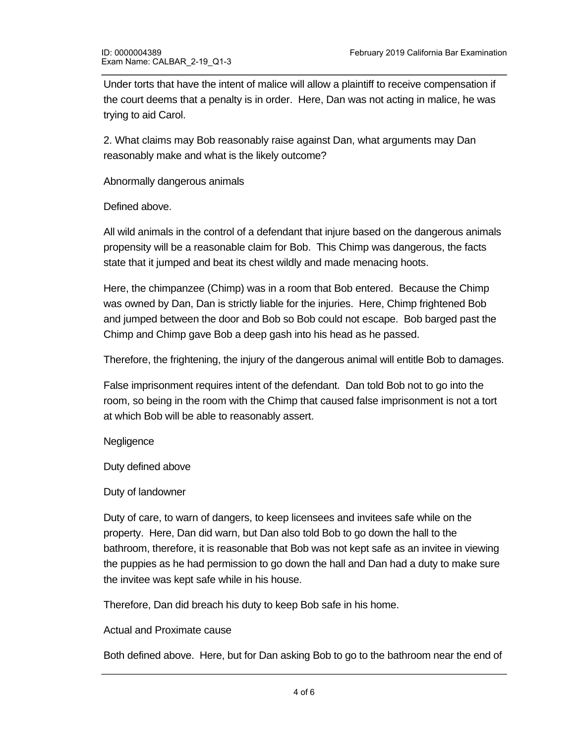Under torts that have the intent of malice will allow a plaintiff to receive compensation if the court deems that a penalty is in order. Here, Dan was not acting in malice, he was trying to aid Carol.

2. What claims may Bob reasonably raise against Dan, what arguments may Dan reasonably make and what is the likely outcome?

Abnormally dangerous animals

Defined above.

All wild animals in the control of a defendant that injure based on the dangerous animals propensity will be a reasonable claim for Bob. This Chimp was dangerous, the facts state that it jumped and beat its chest wildly and made menacing hoots.

Here, the chimpanzee (Chimp) was in a room that Bob entered. Because the Chimp was owned by Dan, Dan is strictly liable for the injuries. Here, Chimp frightened Bob and jumped between the door and Bob so Bob could not escape. Bob barged past the Chimp and Chimp gave Bob a deep gash into his head as he passed.

Therefore, the frightening, the injury of the dangerous animal will entitle Bob to damages.

False imprisonment requires intent of the defendant. Dan told Bob not to go into the room, so being in the room with the Chimp that caused false imprisonment is not a tort at which Bob will be able to reasonably assert.

**Negligence** 

Duty defined above

Duty of landowner

Duty of care, to warn of dangers, to keep licensees and invitees safe while on the property. Here, Dan did warn, but Dan also told Bob to go down the hall to the bathroom, therefore, it is reasonable that Bob was not kept safe as an invitee in viewing the puppies as he had permission to go down the hall and Dan had a duty to make sure the invitee was kept safe while in his house.

Therefore, Dan did breach his duty to keep Bob safe in his home.

Actual and Proximate cause

Both defined above. Here, but for Dan asking Bob to go to the bathroom near the end of the hall, Bob encountered the Chimp. Here, the proximate cause of choosing the wrong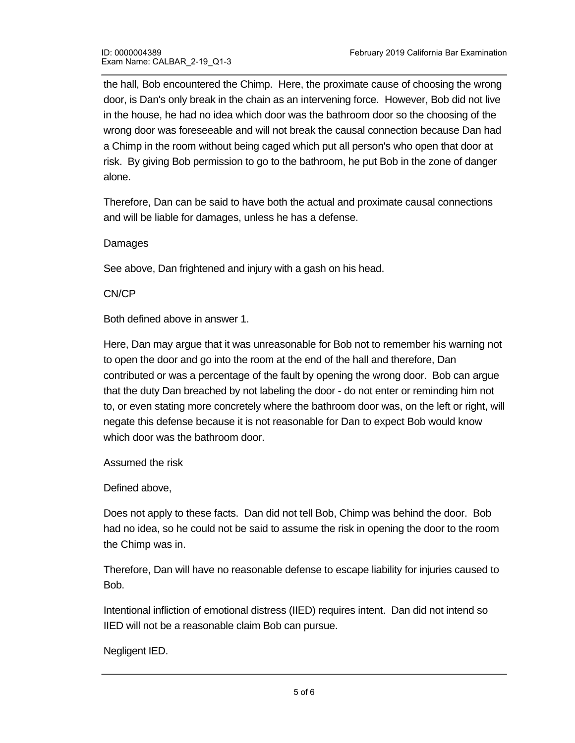the hall, Bob encountered the Chimp. Here, the proximate cause of choosing the wrong door, is Dan's only break in the chain as an intervening force. However, Bob did not live in the house, he had no idea which door was the bathroom door so the choosing of the wrong door was foreseeable and will not break the causal connection because Dan had a Chimp in the room without being caged which put all person's who open that door at risk. By giving Bob permission to go to the bathroom, he put Bob in the zone of danger alone.

Therefore, Dan can be said to have both the actual and proximate causal connections and will be liable for damages, unless he has a defense.

Damages

See above, Dan frightened and injury with a gash on his head.

CN/CP

Both defined above in answer 1.

Here, Dan may argue that it was unreasonable for Bob not to remember his warning not to open the door and go into the room at the end of the hall and therefore, Dan contributed or was a percentage of the fault by opening the wrong door. Bob can argue that the duty Dan breached by not labeling the door - do not enter or reminding him not to, or even stating more concretely where the bathroom door was, on the left or right, will negate this defense because it is not reasonable for Dan to expect Bob would know which door was the bathroom door.

Assumed the risk

Defined above,

Does not apply to these facts. Dan did not tell Bob, Chimp was behind the door. Bob had no idea, so he could not be said to assume the risk in opening the door to the room the Chimp was in.

Therefore, Dan will have no reasonable defense to escape liability for injuries caused to Bob.

Intentional infliction of emotional distress (IIED) requires intent. Dan did not intend so IIED will not be a reasonable claim Bob can pursue.

Negligent IED.

 $\mathcal{B}(\mathcal{B})$  was frightened, so if  $\mathcal{B}(\mathcal{B})$  has any physical or mental injuries from IED because of  $\mathcal{B}(\mathcal{B})$